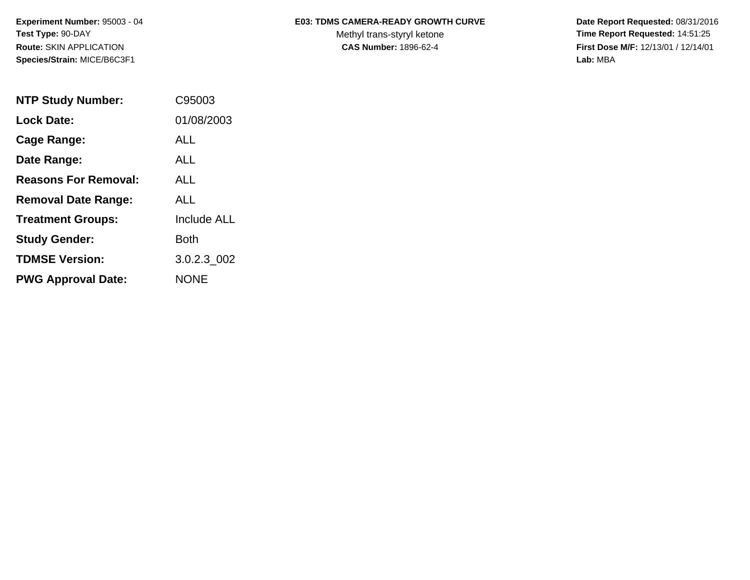**Species/Strain:** MICE/B6C3F1 **Lab:** MBA

## Experiment Number: 95003 - 04 **E03: TDMS CAMERA-READY GROWTH CURVE** Date Report Requested: 08/31/2016

Test Type: 90-DAY **The Report Requested: 14:51:25** Methyl trans-styryl ketone **Time Report Requested: 14:51:25 Route:** SKIN APPLICATION **CAS Number:** 1896-62-4 **First Dose M/F:** 12/13/01 / 12/14/01

| <b>NTP Study Number:</b>    | C95003             |
|-----------------------------|--------------------|
| <b>Lock Date:</b>           | 01/08/2003         |
| Cage Range:                 | ALL                |
| Date Range:                 | ALL.               |
| <b>Reasons For Removal:</b> | ALL.               |
| <b>Removal Date Range:</b>  | ALL                |
| <b>Treatment Groups:</b>    | <b>Include ALL</b> |
| <b>Study Gender:</b>        | Both               |
| <b>TDMSE Version:</b>       | 3.0.2.3 002        |
| <b>PWG Approval Date:</b>   | <b>NONE</b>        |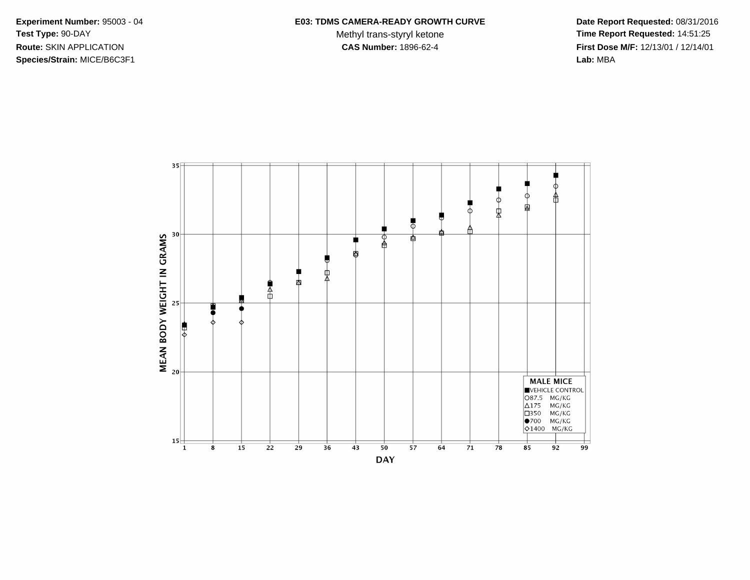**Species/Strain:** MICE/B6C3F1 **Lab:** MBA

Test Type: 90-DAY **The Report Requested: 14:51:25** Methyl trans-styryl ketone **Time Report Requested: 14:51:25 Route:** SKIN APPLICATION **CAS Number:** 1896-62-4 **First Dose M/F:** 12/13/01 / 12/14/01